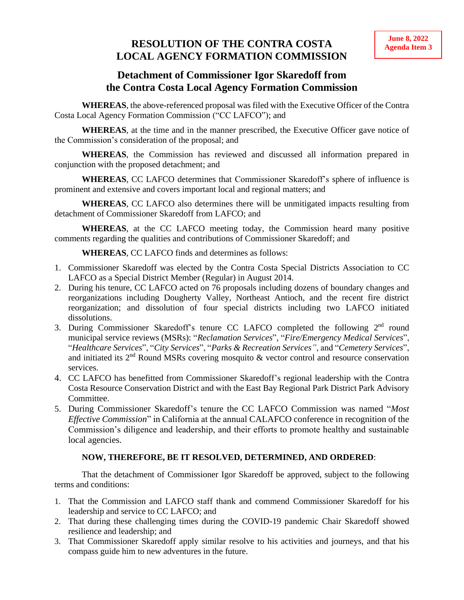## **IVE SOLUTION OF THE CONTRA COSTA Agenda Item 3 LOCAL AGENCY FORMATION COMMISSION**

## **Detachment of Commissioner Igor Skaredoff from the Contra Costa Local Agency Formation Commission**

**WHEREAS**, the above-referenced proposal was filed with the Executive Officer of the Contra Costa Local Agency Formation Commission ("CC LAFCO"); and

**WHEREAS**, at the time and in the manner prescribed, the Executive Officer gave notice of the Commission's consideration of the proposal; and

**WHEREAS**, the Commission has reviewed and discussed all information prepared in conjunction with the proposed detachment; and

**WHEREAS**, CC LAFCO determines that Commissioner Skaredoff's sphere of influence is prominent and extensive and covers important local and regional matters; and

**WHEREAS**, CC LAFCO also determines there will be unmitigated impacts resulting from detachment of Commissioner Skaredoff from LAFCO; and

**WHEREAS**, at the CC LAFCO meeting today, the Commission heard many positive comments regarding the qualities and contributions of Commissioner Skaredoff; and

**WHEREAS**, CC LAFCO finds and determines as follows:

- 1. Commissioner Skaredoff was elected by the Contra Costa Special Districts Association to CC LAFCO as a Special District Member (Regular) in August 2014.
- 2. During his tenure, CC LAFCO acted on 76 proposals including dozens of boundary changes and reorganizations including Dougherty Valley, Northeast Antioch, and the recent fire district reorganization; and dissolution of four special districts including two LAFCO initiated dissolutions.
- 3. During Commissioner Skaredoff's tenure CC LAFCO completed the following  $2<sup>nd</sup>$  round municipal service reviews (MSRs): "*Reclamation Services*", "*Fire/Emergency Medical Services*", "*Healthcare Services*", "*City Services*", "*Parks & Recreation Services"*, and "*Cemetery Services*", and initiated its  $2<sup>nd</sup>$  Round MSRs covering mosquito  $\&$  vector control and resource conservation services.
- 4. CC LAFCO has benefitted from Commissioner Skaredoff's regional leadership with the Contra Costa Resource Conservation District and with the East Bay Regional Park District Park Advisory Committee.
- 5. During Commissioner Skaredoff's tenure the CC LAFCO Commission was named "*Most Effective Commission*" in California at the annual CALAFCO conference in recognition of the Commission's diligence and leadership, and their efforts to promote healthy and sustainable local agencies.

## **NOW, THEREFORE, BE IT RESOLVED, DETERMINED, AND ORDERED**:

That the detachment of Commissioner Igor Skaredoff be approved, subject to the following terms and conditions:

- 1. That the Commission and LAFCO staff thank and commend Commissioner Skaredoff for his leadership and service to CC LAFCO; and
- 2. That during these challenging times during the COVID-19 pandemic Chair Skaredoff showed resilience and leadership; and
- 3. That Commissioner Skaredoff apply similar resolve to his activities and journeys, and that his compass guide him to new adventures in the future.